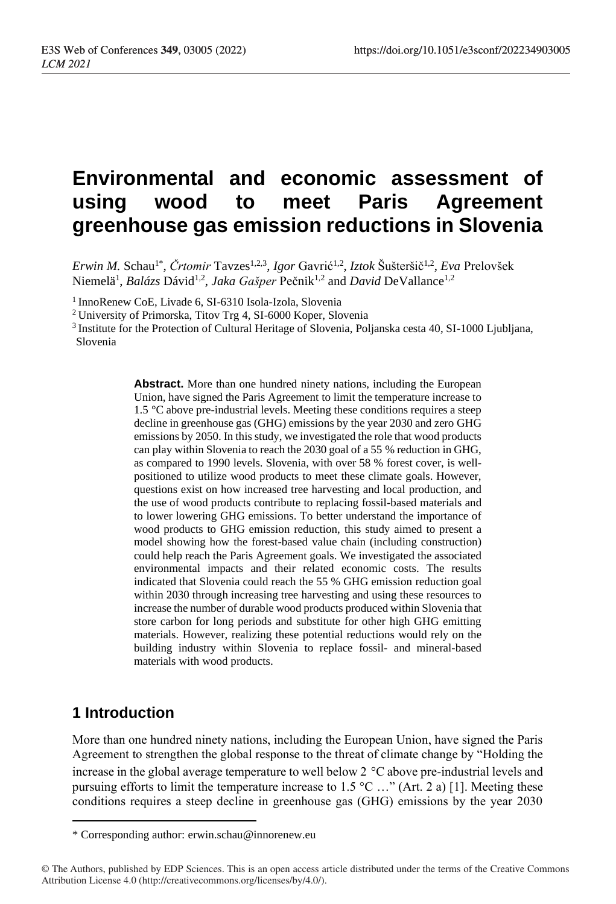# **Environmental and economic assessment of using wood to meet Paris Agreement greenhouse gas emission reductions in Slovenia**

Erwin M. Schau<sup>1\*</sup>, Črtomir Tavzes<sup>1,2,3</sup>, *Igor* Gavrić<sup>1,2</sup>, *Iztok* Šušteršič<sup>1,2</sup>, *Eva* Prelovšek Niemelä<sup>1</sup>, *Balázs* Dávid<sup>1,2</sup>, *Jaka Gašper* Pečnik<sup>1,2</sup> and *David* DeVallance<sup>1,2</sup>

1 InnoRenew CoE, Livade 6, SI-6310 Isola-Izola, Slovenia

<sup>2</sup> University of Primorska, Titov Trg 4, SI-6000 Koper, Slovenia

<sup>3</sup>Institute for the Protection of Cultural Heritage of Slovenia, Poljanska cesta 40, SI-1000 Ljubljana, Slovenia

> **Abstract.** More than one hundred ninety nations, including the European Union, have signed the Paris Agreement to limit the temperature increase to 1.5 °C above pre-industrial levels. Meeting these conditions requires a steep decline in greenhouse gas (GHG) emissions by the year 2030 and zero GHG emissions by 2050. In this study, we investigated the role that wood products can play within Slovenia to reach the 2030 goal of a 55 % reduction in GHG, as compared to 1990 levels. Slovenia, with over 58 % forest cover, is wellpositioned to utilize wood products to meet these climate goals. However, questions exist on how increased tree harvesting and local production, and the use of wood products contribute to replacing fossil-based materials and to lower lowering GHG emissions. To better understand the importance of wood products to GHG emission reduction, this study aimed to present a model showing how the forest-based value chain (including construction) could help reach the Paris Agreement goals. We investigated the associated environmental impacts and their related economic costs. The results indicated that Slovenia could reach the 55 % GHG emission reduction goal within 2030 through increasing tree harvesting and using these resources to increase the number of durable wood products produced within Slovenia that store carbon for long periods and substitute for other high GHG emitting materials. However, realizing these potential reductions would rely on the building industry within Slovenia to replace fossil- and mineral-based materials with wood products.

# **1 Introduction**

More than one hundred ninety nations, including the European Union, have signed the Paris Agreement to strengthen the global response to the threat of climate change by "Holding the increase in the global average temperature to well below 2 °C above pre-industrial levels and pursuing efforts to limit the temperature increase to 1.5 °C …" (Art. 2 a) [1]. Meeting these conditions requires a steep decline in greenhouse gas (GHG) emissions by the year 2030

<sup>\*</sup> Corresponding author: erwin.schau@innorenew.eu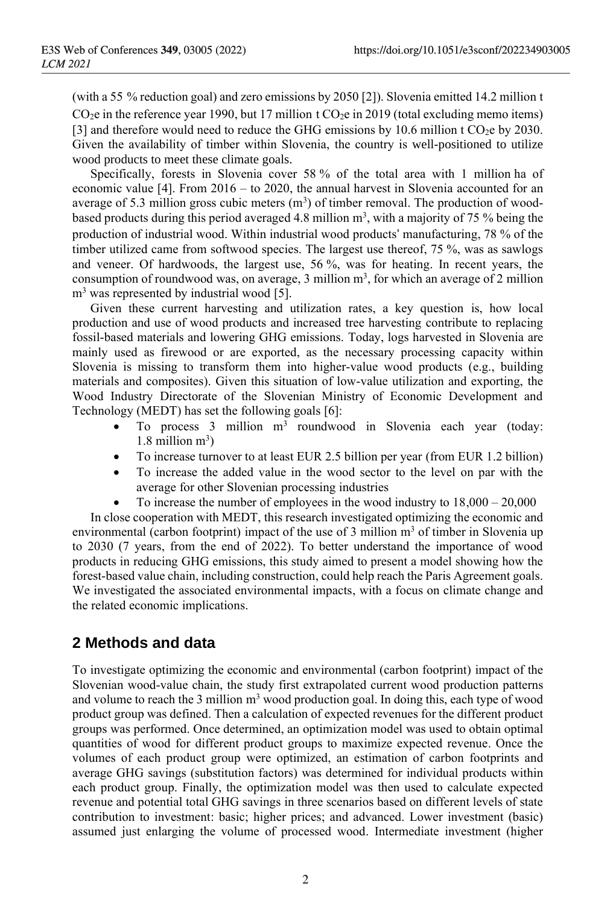(with a 55 % reduction goal) and zero emissions by 2050 [2]). Slovenia emitted 14.2 million t  $CO<sub>2</sub>e$  in the reference year 1990, but 17 million t  $CO<sub>2</sub>e$  in 2019 (total excluding memo items) [3] and therefore would need to reduce the GHG emissions by 10.6 million t  $CO<sub>2</sub>$ e by 2030. Given the availability of timber within Slovenia, the country is well-positioned to utilize wood products to meet these climate goals.

Specifically, forests in Slovenia cover 58 % of the total area with 1 million ha of economic value [4]. From 2016 – to 2020, the annual harvest in Slovenia accounted for an average of 5.3 million gross cubic meters  $(m<sup>3</sup>)$  of timber removal. The production of woodbased products during this period averaged 4.8 million  $m<sup>3</sup>$ , with a majority of 75 % being the production of industrial wood. Within industrial wood products' manufacturing, 78 % of the timber utilized came from softwood species. The largest use thereof, 75 %, was as sawlogs and veneer. Of hardwoods, the largest use, 56 %, was for heating. In recent years, the consumption of roundwood was, on average, 3 million  $m<sup>3</sup>$ , for which an average of 2 million  $m<sup>3</sup>$  was represented by industrial wood [5].

Given these current harvesting and utilization rates, a key question is, how local production and use of wood products and increased tree harvesting contribute to replacing fossil-based materials and lowering GHG emissions. Today, logs harvested in Slovenia are mainly used as firewood or are exported, as the necessary processing capacity within Slovenia is missing to transform them into higher-value wood products (e.g., building materials and composites). Given this situation of low-value utilization and exporting, the Wood Industry Directorate of the Slovenian Ministry of Economic Development and Technology (MEDT) has set the following goals [6]:

- $\bullet$  To process 3 million  $m^3$  roundwood in Slovenia each year (today:  $1.8$  million  $m<sup>3</sup>$ )
- To increase turnover to at least EUR 2.5 billion per year (from EUR 1.2 billion)
- To increase the added value in the wood sector to the level on par with the average for other Slovenian processing industries
- To increase the number of employees in the wood industry to  $18,000 20,000$

In close cooperation with MEDT, this research investigated optimizing the economic and environmental (carbon footprint) impact of the use of 3 million  $m<sup>3</sup>$  of timber in Slovenia up to 2030 (7 years, from the end of 2022). To better understand the importance of wood products in reducing GHG emissions, this study aimed to present a model showing how the forest-based value chain, including construction, could help reach the Paris Agreement goals. We investigated the associated environmental impacts, with a focus on climate change and the related economic implications.

## **2 Methods and data**

To investigate optimizing the economic and environmental (carbon footprint) impact of the Slovenian wood-value chain, the study first extrapolated current wood production patterns and volume to reach the 3 million  $m<sup>3</sup>$  wood production goal. In doing this, each type of wood product group was defined. Then a calculation of expected revenues for the different product groups was performed. Once determined, an optimization model was used to obtain optimal quantities of wood for different product groups to maximize expected revenue. Once the volumes of each product group were optimized, an estimation of carbon footprints and average GHG savings (substitution factors) was determined for individual products within each product group. Finally, the optimization model was then used to calculate expected revenue and potential total GHG savings in three scenarios based on different levels of state contribution to investment: basic; higher prices; and advanced. Lower investment (basic) assumed just enlarging the volume of processed wood. Intermediate investment (higher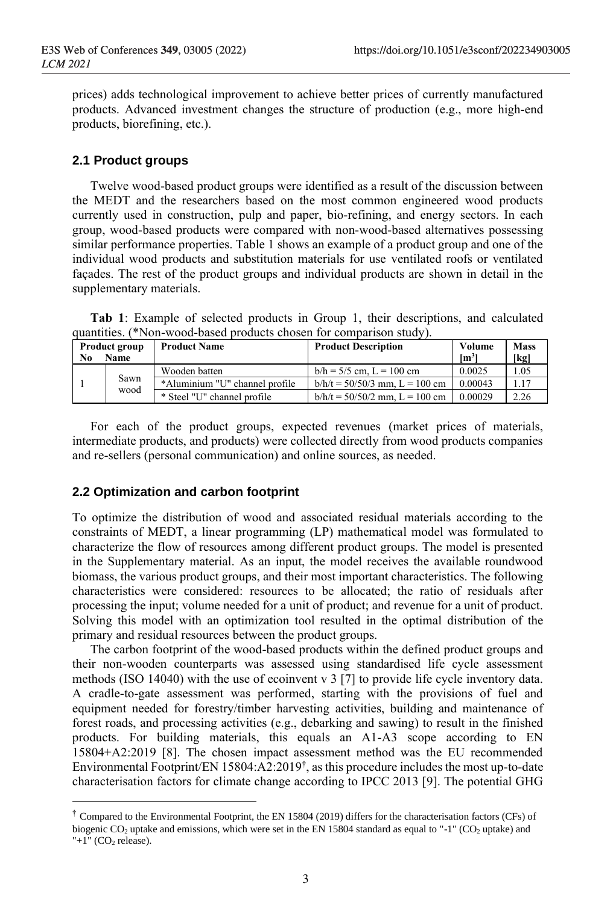prices) adds technological improvement to achieve better prices of currently manufactured products. Advanced investment changes the structure of production (e.g., more high-end products, biorefining, etc.).

#### **2.1 Product groups**

Twelve wood-based product groups were identified as a result of the discussion between the MEDT and the researchers based on the most common engineered wood products currently used in construction, pulp and paper, bio-refining, and energy sectors. In each group, wood-based products were compared with non-wood-based alternatives possessing similar performance properties. Table 1 shows an example of a product group and one of the individual wood products and substitution materials for use ventilated roofs or ventilated façades. The rest of the product groups and individual products are shown in detail in the supplementary materials.

**Tab 1**: Example of selected products in Group 1, their descriptions, and calculated quantities. (\*Non-wood-based products chosen for comparison study).

| <b>Product group</b> |              | <b>Product Name</b>            | <b>Product Description</b>         | Volume          | <b>Mass</b> |
|----------------------|--------------|--------------------------------|------------------------------------|-----------------|-------------|
| No                   | <b>Name</b>  |                                |                                    | $\mathrm{Im}^3$ | [kg]        |
|                      | Sawn<br>wood | Wooden batten                  | $b/h = 5/5$ cm, $L = 100$ cm       | 0.0025          | 1.05        |
|                      |              | *Aluminium "U" channel profile | $b/h/t = 50/50/3$ mm, $L = 100$ cm | 0.00043         | 1.17        |
|                      |              | * Steel "U" channel profile    | $b/h/t = 50/50/2$ mm, $L = 100$ cm | 0.00029         | 2.26        |

For each of the product groups, expected revenues (market prices of materials, intermediate products, and products) were collected directly from wood products companies and re-sellers (personal communication) and online sources, as needed.

#### **2.2 Optimization and carbon footprint**

To optimize the distribution of wood and associated residual materials according to the constraints of MEDT, a linear programming (LP) mathematical model was formulated to characterize the flow of resources among different product groups. The model is presented in the Supplementary material. As an input, the model receives the available roundwood biomass, the various product groups, and their most important characteristics. The following characteristics were considered: resources to be allocated; the ratio of residuals after processing the input; volume needed for a unit of product; and revenue for a unit of product. Solving this model with an optimization tool resulted in the optimal distribution of the primary and residual resources between the product groups.

The carbon footprint of the wood-based products within the defined product groups and their non-wooden counterparts was assessed using standardised life cycle assessment methods (ISO 14040) with the use of ecoinvent v 3 [7] to provide life cycle inventory data. A cradle-to-gate assessment was performed, starting with the provisions of fuel and equipment needed for forestry/timber harvesting activities, building and maintenance of forest roads, and processing activities (e.g., debarking and sawing) to result in the finished products. For building materials, this equals an A1-A3 scope according to EN 15804+A2:2019 [8]. The chosen impact assessment method was the EU recommended Environmental Footprint/EN 15804:A2:2019<sup>†</sup>, as this procedure includes the most up-to-date characterisation factors for climate change according to IPCC 2013 [9]. The potential GHG

<sup>&</sup>lt;sup>†</sup> Compared to the Environmental Footprint, the EN 15804 (2019) differs for the characterisation factors (CFs) of biogenic  $CO_2$  uptake and emissions, which were set in the EN 15804 standard as equal to "-1" ( $CO_2$  uptake) and "+1"  $(CO<sub>2</sub>$  release).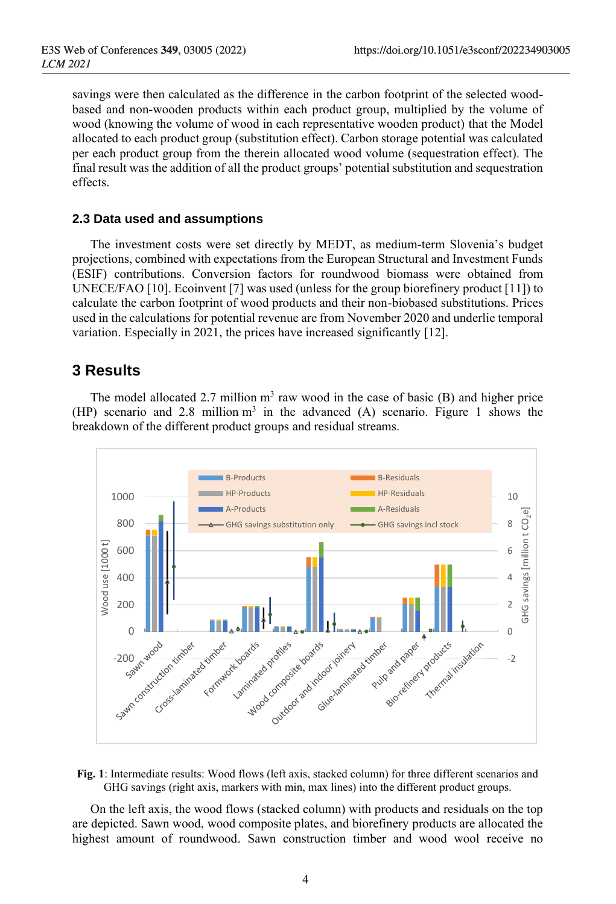savings were then calculated as the difference in the carbon footprint of the selected woodbased and non-wooden products within each product group, multiplied by the volume of wood (knowing the volume of wood in each representative wooden product) that the Model allocated to each product group (substitution effect). Carbon storage potential was calculated per each product group from the therein allocated wood volume (sequestration effect). The final result was the addition of all the product groups' potential substitution and sequestration effects.

#### **2.3 Data used and assumptions**

The investment costs were set directly by MEDT, as medium-term Slovenia's budget projections, combined with expectations from the European Structural and Investment Funds (ESIF) contributions. Conversion factors for roundwood biomass were obtained from UNECE/FAO [10]. Ecoinvent [7] was used (unless for the group biorefinery product [11]) to calculate the carbon footprint of wood products and their non-biobased substitutions. Prices used in the calculations for potential revenue are from November 2020 and underlie temporal variation. Especially in 2021, the prices have increased significantly [12].

### **3 Results**

The model allocated 2.7 million  $m<sup>3</sup>$  raw wood in the case of basic (B) and higher price (HP) scenario and 2.8 million  $m<sup>3</sup>$  in the advanced (A) scenario. Figure 1 shows the breakdown of the different product groups and residual streams.





On the left axis, the wood flows (stacked column) with products and residuals on the top are depicted. Sawn wood, wood composite plates, and biorefinery products are allocated the highest amount of roundwood. Sawn construction timber and wood wool receive no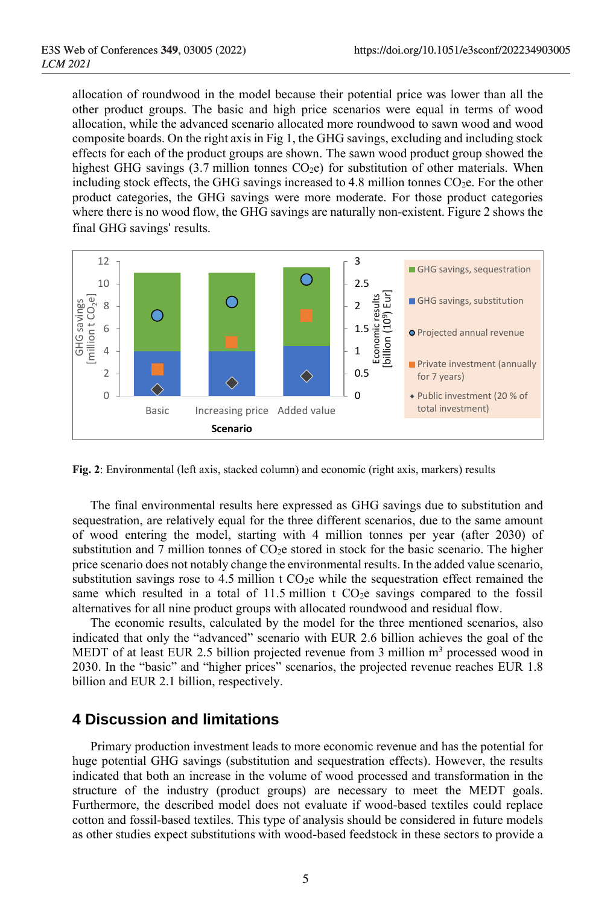allocation of roundwood in the model because their potential price was lower than all the other product groups. The basic and high price scenarios were equal in terms of wood allocation, while the advanced scenario allocated more roundwood to sawn wood and wood composite boards. On the right axis in Fig 1, the GHG savings, excluding and including stock effects for each of the product groups are shown. The sawn wood product group showed the highest GHG savings  $(3.7 \text{ million tonnes CO}_2e)$  for substitution of other materials. When including stock effects, the GHG savings increased to 4.8 million tonnes  $CO<sub>2</sub>e$ . For the other product categories, the GHG savings were more moderate. For those product categories where there is no wood flow, the GHG savings are naturally non-existent. Figure 2 shows the final GHG savings' results.



**Fig. 2**: Environmental (left axis, stacked column) and economic (right axis, markers) results

The final environmental results here expressed as GHG savings due to substitution and sequestration, are relatively equal for the three different scenarios, due to the same amount of wood entering the model, starting with 4 million tonnes per year (after 2030) of substitution and 7 million tonnes of  $CO<sub>2</sub>e$  stored in stock for the basic scenario. The higher price scenario does not notably change the environmental results. In the added value scenario, substitution savings rose to 4.5 million t  $CO<sub>2</sub>e$  while the sequestration effect remained the same which resulted in a total of  $11.5$  million t CO<sub>2</sub>e savings compared to the fossil alternatives for all nine product groups with allocated roundwood and residual flow.

The economic results, calculated by the model for the three mentioned scenarios, also indicated that only the "advanced" scenario with EUR 2.6 billion achieves the goal of the MEDT of at least EUR 2.5 billion projected revenue from 3 million  $m<sup>3</sup>$  processed wood in 2030. In the "basic" and "higher prices" scenarios, the projected revenue reaches EUR 1.8 billion and EUR 2.1 billion, respectively.

## **4 Discussion and limitations**

Primary production investment leads to more economic revenue and has the potential for huge potential GHG savings (substitution and sequestration effects). However, the results indicated that both an increase in the volume of wood processed and transformation in the structure of the industry (product groups) are necessary to meet the MEDT goals. Furthermore, the described model does not evaluate if wood-based textiles could replace cotton and fossil-based textiles. This type of analysis should be considered in future models as other studies expect substitutions with wood-based feedstock in these sectors to provide a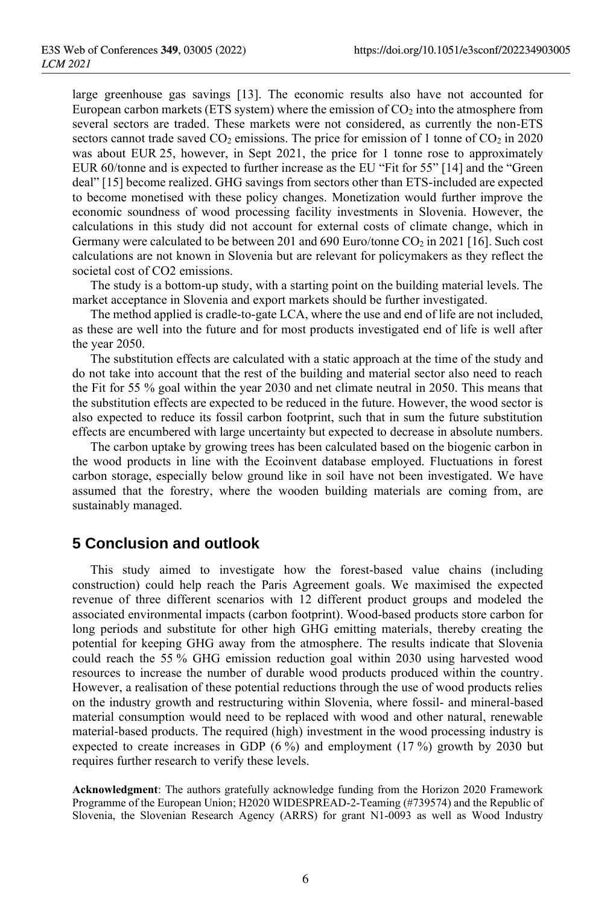large greenhouse gas savings [13]. The economic results also have not accounted for European carbon markets (ETS system) where the emission of  $CO<sub>2</sub>$  into the atmosphere from several sectors are traded. These markets were not considered, as currently the non-ETS sectors cannot trade saved  $CO_2$  emissions. The price for emission of 1 tonne of  $CO_2$  in 2020 was about EUR 25, however, in Sept 2021, the price for 1 tonne rose to approximately EUR 60/tonne and is expected to further increase as the EU "Fit for 55" [14] and the "Green deal" [15] become realized. GHG savings from sectors other than ETS-included are expected to become monetised with these policy changes. Monetization would further improve the economic soundness of wood processing facility investments in Slovenia. However, the calculations in this study did not account for external costs of climate change, which in Germany were calculated to be between 201 and 690 Euro/tonne CO<sub>2</sub> in 2021 [16]. Such cost calculations are not known in Slovenia but are relevant for policymakers as they reflect the societal cost of CO2 emissions.

The study is a bottom-up study, with a starting point on the building material levels. The market acceptance in Slovenia and export markets should be further investigated.

The method applied is cradle-to-gate LCA, where the use and end of life are not included, as these are well into the future and for most products investigated end of life is well after the year 2050.

The substitution effects are calculated with a static approach at the time of the study and do not take into account that the rest of the building and material sector also need to reach the Fit for 55 % goal within the year 2030 and net climate neutral in 2050. This means that the substitution effects are expected to be reduced in the future. However, the wood sector is also expected to reduce its fossil carbon footprint, such that in sum the future substitution effects are encumbered with large uncertainty but expected to decrease in absolute numbers.

The carbon uptake by growing trees has been calculated based on the biogenic carbon in the wood products in line with the Ecoinvent database employed. Fluctuations in forest carbon storage, especially below ground like in soil have not been investigated. We have assumed that the forestry, where the wooden building materials are coming from, are sustainably managed.

## **5 Conclusion and outlook**

This study aimed to investigate how the forest-based value chains (including construction) could help reach the Paris Agreement goals. We maximised the expected revenue of three different scenarios with 12 different product groups and modeled the associated environmental impacts (carbon footprint). Wood-based products store carbon for long periods and substitute for other high GHG emitting materials, thereby creating the potential for keeping GHG away from the atmosphere. The results indicate that Slovenia could reach the 55 % GHG emission reduction goal within 2030 using harvested wood resources to increase the number of durable wood products produced within the country. However, a realisation of these potential reductions through the use of wood products relies on the industry growth and restructuring within Slovenia, where fossil- and mineral-based material consumption would need to be replaced with wood and other natural, renewable material-based products. The required (high) investment in the wood processing industry is expected to create increases in GDP (6 %) and employment (17 %) growth by 2030 but requires further research to verify these levels.

**Acknowledgment**: The authors gratefully acknowledge funding from the Horizon 2020 Framework Programme of the European Union; H2020 WIDESPREAD-2-Teaming (#739574) and the Republic of Slovenia, the Slovenian Research Agency (ARRS) for grant N1-0093 as well as Wood Industry